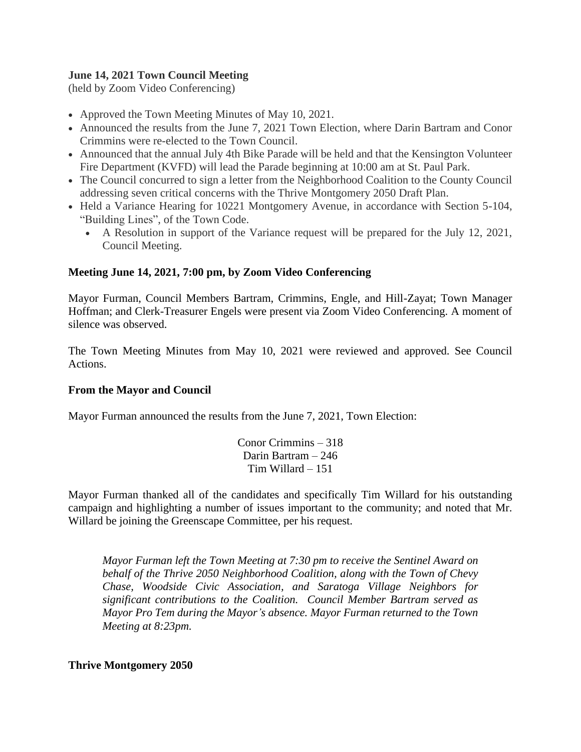# **June 14, 2021 Town Council Meeting**

(held by Zoom Video Conferencing)

- Approved the Town Meeting Minutes of May 10, 2021.
- Announced the results from the [June 7, 2021 Town Election,](https://r20.rs6.net/tn.jsp?f=001nBlGPlk-xNCcjAEfZl85t-Ugo9QgRUqDdC1eYs9BijmPR39lvapBcIqPy7qGIVnklw15vV4edSM3ZLLRcwALcpoDwTkXQVdy4FqX5q_TYpgb-FqXyMuGWXdciWth-Ad_o7TcoFSOhUUNgjyzzMAbD8hk7pToiqL1CHjPmWB-wlT5L35Qo5hgE3Staahy4vU1I-7SVVD8owmhDPeSmvRvIa26YdqGdcfp&c=9HvTCckK6KLoJLqOFUuNCq7zLgrYg-y-RQcOvDtiuuTFFIjLaz18qQ==&ch=SrBWW756E3W0qzpK8TBVOZRrBGJKlERFNW2aX803YLbS8XQMMRpJ8g==) where Darin Bartram and Conor Crimmins were re-elected to the Town Council.
- Announced that the annual July 4th Bike Parade will be held and that the Kensington Volunteer Fire Department [\(KVFD\)](https://r20.rs6.net/tn.jsp?f=001nBlGPlk-xNCcjAEfZl85t-Ugo9QgRUqDdC1eYs9BijmPR39lvapBcPRfNjC4WzTUucyif6n-evLy0FjjyAkhWbS7fx4BNagyFalwdeQOuFfCQsRevDjzJVeS_nSpKGCySQSWvhM-O4U=&c=9HvTCckK6KLoJLqOFUuNCq7zLgrYg-y-RQcOvDtiuuTFFIjLaz18qQ==&ch=SrBWW756E3W0qzpK8TBVOZRrBGJKlERFNW2aX803YLbS8XQMMRpJ8g==) will lead the Parade beginning at 10:00 am at St. Paul Park.
- The Council concurred to sign a letter from the Neighborhood Coalition to the County Council addressing seven critical concerns with the Thrive Montgomery 2050 Draft Plan.
- Held a Variance Hearing for 10221 Montgomery Avenue, in accordance with Section 5-104, "Building Lines", of the Town Code.
	- A Resolution in support of the Variance request will be prepared for the July 12, 2021, Council Meeting.

# **Meeting June 14, 2021, 7:00 pm, by Zoom Video Conferencing**

Mayor Furman, Council Members Bartram, Crimmins, Engle, and Hill-Zayat; Town Manager Hoffman; and Clerk-Treasurer Engels were present via Zoom Video Conferencing. A moment of silence was observed.

The Town Meeting Minutes from May 10, 2021 were reviewed and approved. See Council Actions.

## **From the Mayor and Council**

Mayor Furman announced the results from the June 7, 2021, Town Election:

Conor Crimmins – 318 Darin Bartram – 246 Tim Willard – 151

Mayor Furman thanked all of the candidates and specifically Tim Willard for his outstanding campaign and highlighting a number of issues important to the community; and noted that Mr. Willard be joining the Greenscape Committee, per his request.

*Mayor Furman left the Town Meeting at 7:30 pm to receive the Sentinel Award on behalf of the Thrive 2050 Neighborhood Coalition, along with the Town of Chevy Chase, Woodside Civic Association, and Saratoga Village Neighbors for significant contributions to the Coalition. Council Member Bartram served as Mayor Pro Tem during the Mayor's absence. Mayor Furman returned to the Town Meeting at 8:23pm.*

**Thrive Montgomery 2050**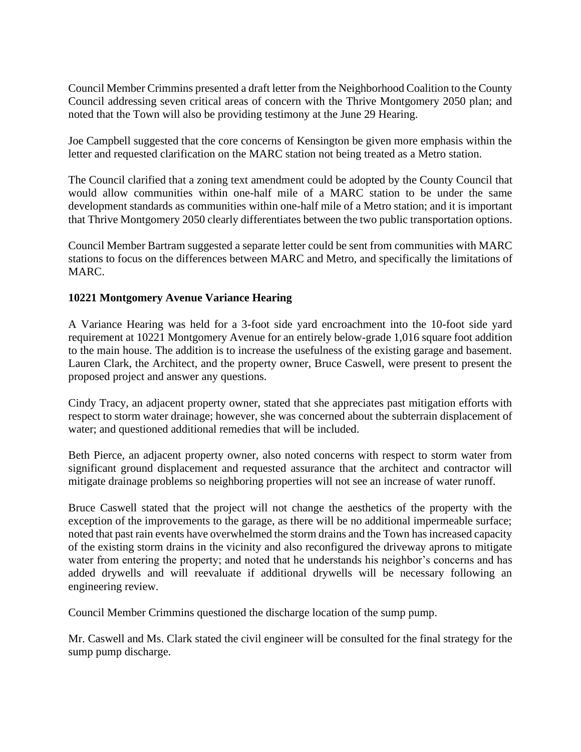Council Member Crimmins presented a draft letter from the Neighborhood Coalition to the County Council addressing seven critical areas of concern with the Thrive Montgomery 2050 plan; and noted that the Town will also be providing testimony at the June 29 Hearing.

Joe Campbell suggested that the core concerns of Kensington be given more emphasis within the letter and requested clarification on the MARC station not being treated as a Metro station.

The Council clarified that a zoning text amendment could be adopted by the County Council that would allow communities within one-half mile of a MARC station to be under the same development standards as communities within one-half mile of a Metro station; and it is important that Thrive Montgomery 2050 clearly differentiates between the two public transportation options.

Council Member Bartram suggested a separate letter could be sent from communities with MARC stations to focus on the differences between MARC and Metro, and specifically the limitations of MARC.

# **10221 Montgomery Avenue Variance Hearing**

A Variance Hearing was held for a 3-foot side yard encroachment into the 10-foot side yard requirement at 10221 Montgomery Avenue for an entirely below-grade 1,016 square foot addition to the main house. The addition is to increase the usefulness of the existing garage and basement. Lauren Clark, the Architect, and the property owner, Bruce Caswell, were present to present the proposed project and answer any questions.

Cindy Tracy, an adjacent property owner, stated that she appreciates past mitigation efforts with respect to storm water drainage; however, she was concerned about the subterrain displacement of water; and questioned additional remedies that will be included.

Beth Pierce, an adjacent property owner, also noted concerns with respect to storm water from significant ground displacement and requested assurance that the architect and contractor will mitigate drainage problems so neighboring properties will not see an increase of water runoff.

Bruce Caswell stated that the project will not change the aesthetics of the property with the exception of the improvements to the garage, as there will be no additional impermeable surface; noted that past rain events have overwhelmed the storm drains and the Town has increased capacity of the existing storm drains in the vicinity and also reconfigured the driveway aprons to mitigate water from entering the property; and noted that he understands his neighbor's concerns and has added drywells and will reevaluate if additional drywells will be necessary following an engineering review.

Council Member Crimmins questioned the discharge location of the sump pump.

Mr. Caswell and Ms. Clark stated the civil engineer will be consulted for the final strategy for the sump pump discharge.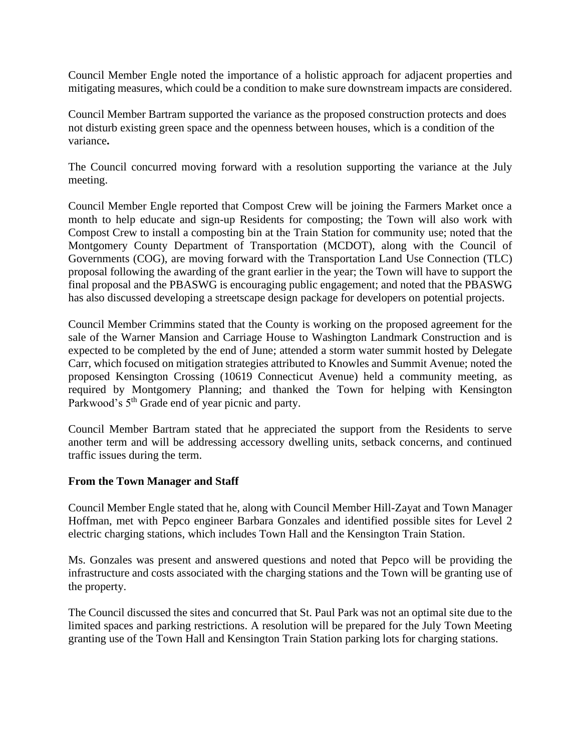Council Member Engle noted the importance of a holistic approach for adjacent properties and mitigating measures, which could be a condition to make sure downstream impacts are considered.

Council Member Bartram supported the variance as the proposed construction protects and does not disturb existing green space and the openness between houses, which is a condition of the variance**.**

The Council concurred moving forward with a resolution supporting the variance at the July meeting.

Council Member Engle reported that Compost Crew will be joining the Farmers Market once a month to help educate and sign-up Residents for composting; the Town will also work with Compost Crew to install a composting bin at the Train Station for community use; noted that the Montgomery County Department of Transportation (MCDOT), along with the Council of Governments (COG), are moving forward with the Transportation Land Use Connection (TLC) proposal following the awarding of the grant earlier in the year; the Town will have to support the final proposal and the PBASWG is encouraging public engagement; and noted that the PBASWG has also discussed developing a streetscape design package for developers on potential projects.

Council Member Crimmins stated that the County is working on the proposed agreement for the sale of the Warner Mansion and Carriage House to Washington Landmark Construction and is expected to be completed by the end of June; attended a storm water summit hosted by Delegate Carr, which focused on mitigation strategies attributed to Knowles and Summit Avenue; noted the proposed Kensington Crossing (10619 Connecticut Avenue) held a community meeting, as required by Montgomery Planning; and thanked the Town for helping with Kensington Parkwood's  $5<sup>th</sup>$  Grade end of year picnic and party.

Council Member Bartram stated that he appreciated the support from the Residents to serve another term and will be addressing accessory dwelling units, setback concerns, and continued traffic issues during the term.

## **From the Town Manager and Staff**

Council Member Engle stated that he, along with Council Member Hill-Zayat and Town Manager Hoffman, met with Pepco engineer Barbara Gonzales and identified possible sites for Level 2 electric charging stations, which includes Town Hall and the Kensington Train Station.

Ms. Gonzales was present and answered questions and noted that Pepco will be providing the infrastructure and costs associated with the charging stations and the Town will be granting use of the property.

The Council discussed the sites and concurred that St. Paul Park was not an optimal site due to the limited spaces and parking restrictions. A resolution will be prepared for the July Town Meeting granting use of the Town Hall and Kensington Train Station parking lots for charging stations.